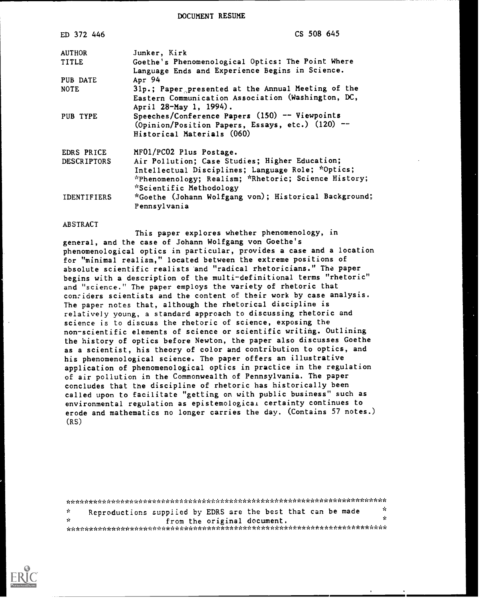DOCUMENT RESUME

| ED 372 446         | CS 508 645                                                                   |  |  |  |  |  |
|--------------------|------------------------------------------------------------------------------|--|--|--|--|--|
| <b>AUTHOR</b>      | Junker, Kirk                                                                 |  |  |  |  |  |
| <b>TITLE</b>       | Goethe's Phenomenological Optics: The Point Where                            |  |  |  |  |  |
|                    | Language Ends and Experience Begins in Science.                              |  |  |  |  |  |
| PUB DATE           | Apr 94                                                                       |  |  |  |  |  |
| <b>NOTE</b>        | 31p.; Paper presented at the Annual Meeting of the                           |  |  |  |  |  |
|                    | Eastern Communication Association (Washington, DC,<br>April 28-May 1, 1994). |  |  |  |  |  |
| PUB TYPE           | Speeches/Conference Papers (150) -- Viewpoints                               |  |  |  |  |  |
|                    | (Opinion/Position Papers, Essays, etc.) (120) --                             |  |  |  |  |  |
|                    | Historical Materials (060)                                                   |  |  |  |  |  |
| EDRS PRICE         | MF01/PC02 Plus Postage.                                                      |  |  |  |  |  |
| <b>DESCRIPTORS</b> | Air Pollution; Case Studies; Higher Education;                               |  |  |  |  |  |
|                    | Intellectual Disciplines; Language Role; *Optics;                            |  |  |  |  |  |
|                    | *Phenomenology; Realism; *Rhetoric; Science History;                         |  |  |  |  |  |
|                    | *Scientific Methodology                                                      |  |  |  |  |  |
| <b>IDENTIFIERS</b> | *Goethe (Johann Wolfgang von); Historical Background;                        |  |  |  |  |  |
|                    | Pennsylvania                                                                 |  |  |  |  |  |
|                    |                                                                              |  |  |  |  |  |

#### ABSTRACT

This paper explores whether phenomenology, in general, and the case of Johann Wolfgang von Goethe's phenomenological optics in particular, provides a case and a location for "minimal realism," located between the extreme positions of absolute scientific realists and "radical rhetoricians." The paper begins with a description of the multi-definitional terms "rhetoric" and "science." The paper employs the variety of rhetoric that con:iders scientists and the content of their work by case analysis. The paper notes that, although the rhetorical discipline is relatively young, a standard approach to discussing rhetoric and science is to discuss the rhetoric of science, exposing the non-scientific elements of science or scientific writing. Outlining the history of optics before Newton, the paper also discusses Goethe as a scientist, his theory of color and contribution to optics, and his phenomenological science. The paper offers an illustrative application of phenomenological optics in practice in the regulation of air pollution in the Commonwealth of Pennsylvania. The paper concludes that the discipline of rhetoric has historically been called upon to facilitate "getting on with public business" such as environmental regulation as epistemological certainty continues to erode and mathematics no longer carries the day. (Contains 57 notes.) (RS)

|      | Reproductions supplied by EDRS are the best that can be made |                             |  |  | - 50 |  |
|------|--------------------------------------------------------------|-----------------------------|--|--|------|--|
| ria. |                                                              | from the original document. |  |  |      |  |
|      |                                                              |                             |  |  |      |  |

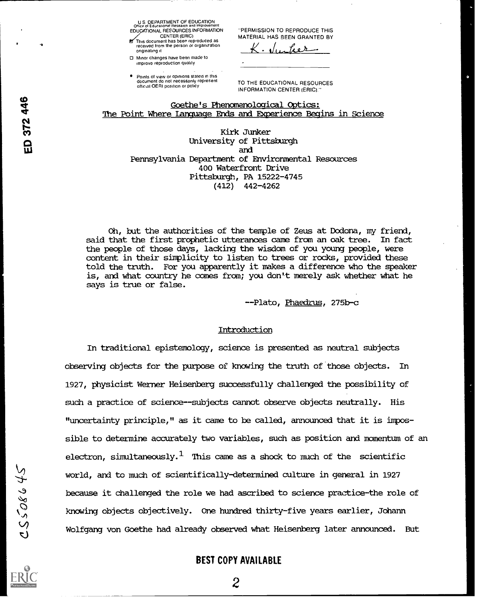U S DEPARTMENT OF EDUCATION Volke of Educational Research and Improvement<br>EDUCATIONAL RESOURCES INFORMATION TPER

CENTER (ERIC)<br>This document has been reproduced as<br>received from the person or organization originating it

0 Minor changes have been made to improve reproduction quality

**Points of view or opinions stated in this** document do not necessarily represent official OERI position or policy

PERMISSION TO REPRODUCE THIS MATERIAL HAS BEEN GRANTED BY

J,,fico>

TO THE EDUCATIONAL RESOURCES INFORMATION CENTER (ERIC)

### Goethe's Phenomenological Optics: The Point Where Language Ends and Experience Begins in Science

Kirk Junker University of Pittsburgh ua and Pennsylvania Department of Environmental Resources 400 Waterfront Drive Pittsburgh, PA 15222-4745 (412) 442-4262

> Oh, but the authorities of the temple of Zeus at Dodona, my friend, said that the first prophetic utterances came from an oak tree. In fact the people of those days, lacking the wisdom of you young people, were content in their simplicity to listen to trees or rocks, provided these told the truth. For you apparently it makes a difference who the speaker is, and what country he comes from; you don't merely ask whether what he says is true or false.

> > --Plato, Phaedrus, 275b-c

### Introduction

In traditional epistemology, science is presented as neutral subjects observing objects for the purpose of knowing the truth of those objects. In 1927, physicist Werner Heisenberg successfully challenged the possibility of such a practice of science--subjects cannot observe objects neutrally. His "uncertainty principle," as it came to be called, announced that it is impossible to determine accurately two variables, such as position and momentum of an electron, simultaneously. $^1$  This came as a shock to much of the scientific world, and to much of scientifically-determined culture in general in 1927<br>because it challenged the role we had ascribed to science practice-the rol<br>knowing objects objectively. One hundred thirty-five years earlier, Joha because it challenged the role we had ascribed to science practice-the role of knowing objects objectively. One hundred thirty-five years earlier, Johann Wolfgang von Goethe had already observed what Heisenberg later announced. But

# BEST COPY AVAILABLE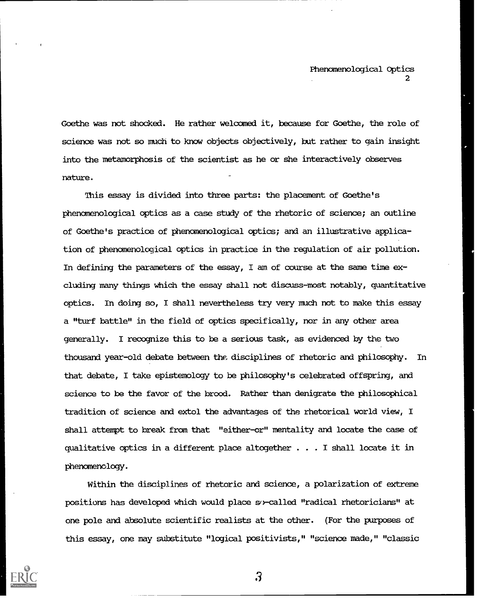Goethe was not shocked. He rather welcomed it, because for Goethe, the role of science was not so much to know objects objectively, but rather to gain insight into the metamorphosis of the scientist as he or she interactively observes nature.

This essay is divided into three parts: the placement of Goethe's phenomenological optics as a case study of the rhetoric of science; an outline of Goethe's practice of phenomenological optics; and an illustrative application of phenomenological optics in practice in the regulation of air pollution. In defining the parameters of the essay, I am of course at the same time excluding many things which the essay shall not discuss-most notably, quantitative optics. In doing so, I shall nevertheless try very much not to make this essay a "turf battle" in the field of optics specifically, nor in any other area generally. I recognize this to be a serious task, as evidenced by the two thousand year-old debate between the disciplines of rhetoric and philosophy. In that debate, I take epistemology to be philosophy's celebrated offspring, and science to be the favor of the brood. Rather than denigrate the philosophical tradition of science and extol the advantages of the rhetorical world view, I shall attempt to break from that "either-or" mentality and locate the case of qualitative optics in a different place altogether . . . I shall locate it in phenomenology.

Within the disciplines of rhetoric and science, a polarization of extreme positions has developed which would place so-called "radical rhetoricians" at one pole and absolute scientific realists at the other. (For the purposes of this essay, one may substitute "logical positivists," "science made," "classic

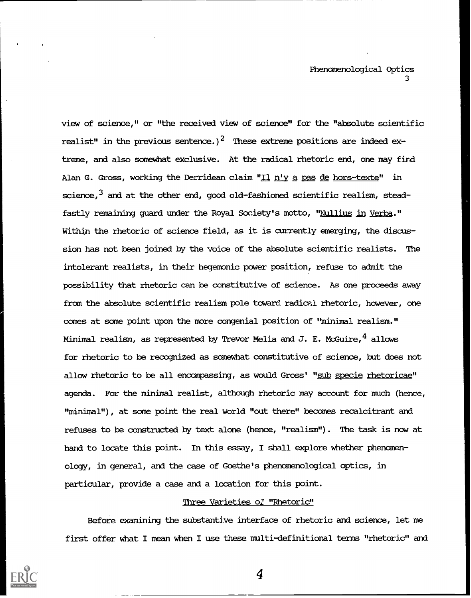view of science," or "the received view of science" for the "absolute scientific realist" in the previous sentence.)<sup>2</sup> These extreme positions are indeed extreme, and also somewhat exclusive. At the radical rhetoric end, one mav find Alan G. Gross, working the Derridean claim "Il n'y a pas de hors-texte" in science,  $^3$  and at the other end, good old-fashioned scientific realism, steadfastly remaining guard under the Royal Society's motto, "Nullius in Verba." Within the rhetoric of science field, as it is currently emerging, the discussion has not been joined by the voice of the absolute scientific realists. The intolerant realists, in their hegemonic power position, refuse to admit the possibility that rhetoric can be constitutive of science. As one proceeds away from the absolute scientific realism pole toward radical rhetoric, however, one comes at some point upon the more congenial position of "minimal realism." Minimal realism, as represented by Trevor Melia and J. E. McGuire,  $\frac{4}{7}$  allows for rhetoric to be recognized as somewhat constitutive of science, but does not allow rhetoric to be all encompassing, as would Gross' "sub specie rhetoricae" agenda. For the minimal realist, although rhetoric may account for much (hence, "minimal"), at same point the real world "out there" becomes recalcitrant and refuses to be constructed by text alone (hence, "realism"). The task is now at hand to locate this point. In this essay, I shall explore whether phenomenology, in general, and the case of Goethe's phenomenological optics, in particular, provide a case and a location for this point.

# Three Varieties of "Rhetoric"

Before examining the substantive interface of rhetoric and science, let me first offer what I mean when I use these multi-definitional terms "rhetoric" and

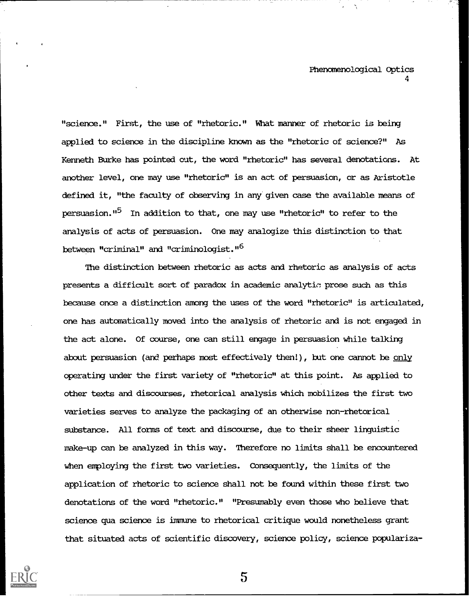"science." First, the use of "rhetoric." What manner of rhetoric is being applied to science in the discipline known as the "rhetoric of science?" As Kenneth Burke has pointed out, the word "rhetoric" has several denotations. At another level, one may use "rhetoric" is an act of persuasion, or as Aristotle defined it, "the faculty of observing in any given case the available means of persuasion."5 In addition to that, one may use "rhetoric" to refer to the analysis of acts of persuasion. One may analogize this distinction to that between "criminal" and "criminologist."6

The distinction between rhetoric as acts and rhetoric as analysis of acts presents a difficult sort of paradox in academic analytio prose such as this because once a distinction among the uses of the word "rhetoric" is articulated, one has automatically moved into the analysis of rhetoric and is not engaged in the act alone. Of course, one can still engage in persuasion while talking about persuasion (and perhaps most effectively then!), but one cannot be only operating under the first variety of "rhetoric" at this point. As applied to other texts and discourses, rhetorical analysis which mobilizes the first two varieties serves to analyze the packaging of an otherwise non-rhetorical substance. All forms of text and discourse, due to their sheer linguistic make-up can be analyzed in this way. Therefore no limits shall be encountered when employing the first two varieties. Consequently, the limits of the application of rhetoric to science shall not be found within these first two denotations of the word "rhetoric." "Presumably even those who believe that science qua science is immune to rhetorical critique would nonetheless grant that situated acts of scientific discovery, science policy, science populariza-

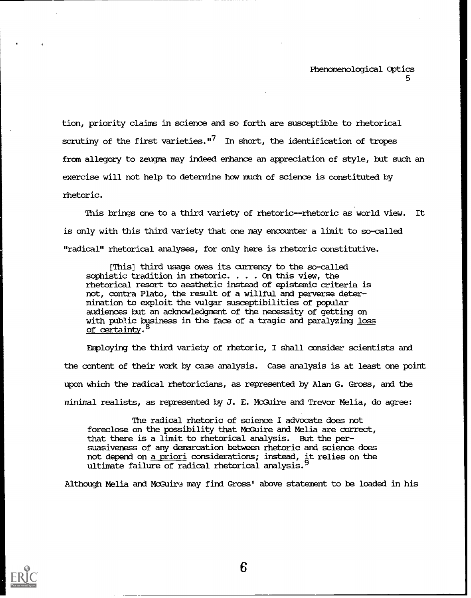tion, priority claims in science and so forth are susceptible to rhetorical scrutiny of the first varieties."<sup>7</sup> In short, the identification of tropes from allegory to zeugma may indeed enhance an appreciation of style, but such an exercise will not help to determine how much of science is constituted by rhetoric.

This brings one to a third variety of rhetoric--rhetoric as world view. It is only with this third variety that one may encounter a limit to so-called "radical" rhetorical analyses, for only here is rhetoric constitutive.

[This] third usage owes its currency to the so-called sophistic tradition in rhetoric. . . . On this view, the rhetorical resort to aesthetic instead of epistemic criteria is not, contra Plato, the result of a willful and perverse determination to exploit the vulgar susceptibilities of popular audiences but an acknowledgment of the necessity of getting on with pub3ic business in the face of a tragic and paralyzing loss of certainty.<sup>8</sup>

Employing the third variety of rhetoric, I shall consider scientists and the content of their work by case analysis. Case analysis is at least one point upon which the radical rhetoricians, as represented by Alan G. Gross, and the minimal realists, as represented by J. E. McGuire and Ttevor Melia, do agree:

The radical rhetoric of science I advocate does not foreclose on the possibility that McGuire and Melia are correct, that there is a limit to rhetorical analysis. But the persuasiveness of any demarcation between rhetoric and science does not depend on a priori considerations; instead, it relies on the ultimate failure of radical rhetorical analysis.<sup>9</sup>

Although Melia and McGuire may find Gross' above statement to be loaded in his

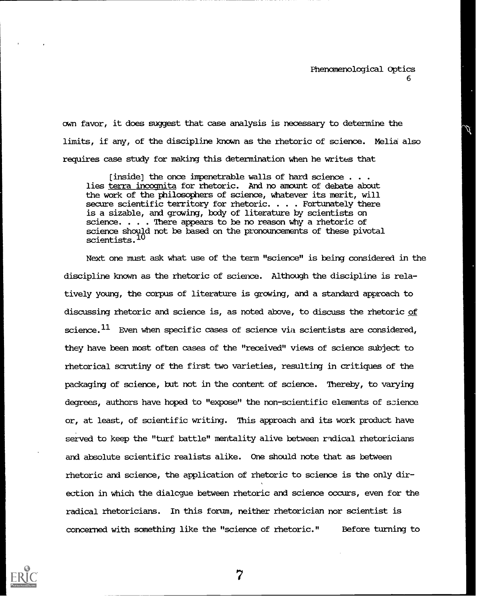awn favor, it does suggest that case analysis is necessary to determine the limits, if any, of the discipline known as the rhetoric of science. Melia also requires case study for making this determination when he writes that

[inside] the once impenetrable walls of hard science  $\ldots$ lies terra incognita for rhetoric. And no amount of debate about the work of the philosophers of science, whatever its merit, will secure scientific territory for rhetoric. . . . Fortunately there is a sizable, and growing, body of literature by scientists on science. . . . There appears to be no reason why a rhetoric of science should not be based on the pronouncements of these pivotal scientists.<sup>10</sup>

Next one must ask what use of the term "science" is being considered in the discipline known as the rhetoric of science. Although the discipline is relatively young, the corpus of literature is growing, and a standard approach to discussing rhetoric and science is, as noted above, to discuss the rhetoric of science. $^{11}$  Even when specific cases of science via scientists are considered, they have been most often cases of the "received" views of science subject to rhetorical scrutiny of the first two varieties, resulting in critiques of the packaging of science, but not in the content of science. Thereby, to varying degrees, authors have hoped to "expose" the non-scientific elements of science or, at least, of scientific writing. This approach and its work product have served to keep the "turf battle" mentality alive between radical rhetoricians and absolute scientific realists alike. One should note that as between rhetoric and science, the application of rhetoric to science is the only direction in which the dialcgue between rhetoric and science occurs, even for the radical rhetoricians. In this forum, neither rhetorician nor scientist is concerned with something like the "science of rhetoric." Before turning to

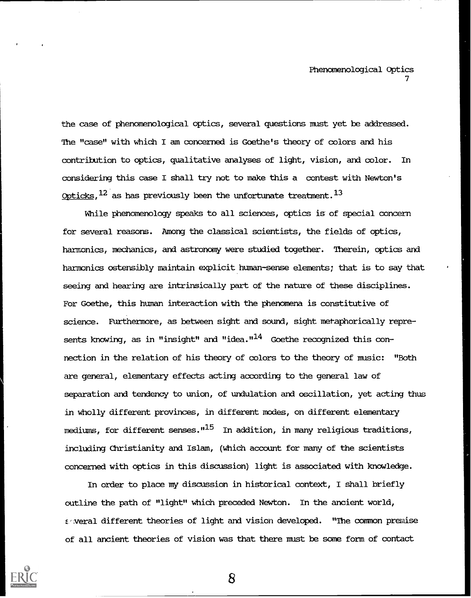the case of phenomenological optics, several questions must yet be addressed. The "case" with which I am concerned is Goethe's theory of colors and his contribution to optics, qualitative analyses of light, vision, and color. In considering this case I shall try not to make this a contest with Newton's Opticks,  $^{12}$  as has previously been the unfortunate treatment.  $^{13}$ 

While phenomenology speaks to all sciences, optics is of special concern for several reasons. Among the classical scientists, the fields of optics, harmonics, mechanics, and astronomy were studied together. Therein, optics and harmonics ostensibly maintain explicit human-sense elements; that is to say that seeing and hearing are intrinsically part of the nature of these disciplines. For Goethe, this human interaction with the phenomena is constitutive of science. Furthermore, as between sight and sound, sight metaphorically represents knowing, as in "insight" and "idea." $^{14}$  Goethe recognized this connection in the relation of his theory of colors to the theory of music: "Both are general, elementary effects acting according to the general law of separation and tendency to union, of undulation and oscillation, yet acting thus in wholly different provinces, in different modes, on different elementary mediums, for different senses."<sup>15</sup> In addition, in many religious traditions, including Christianity and Islam, (which account for many of the scientists concerned with optics in this discussion) light is associated with knowledge.

In order to place my discussion in historical context, I shall briefly outline the path of "light" which preceded Newton. In the ancient world, E veral different theories of light and vision developed. "The common premise of all ancient theories of vision was that there must be some form of contact

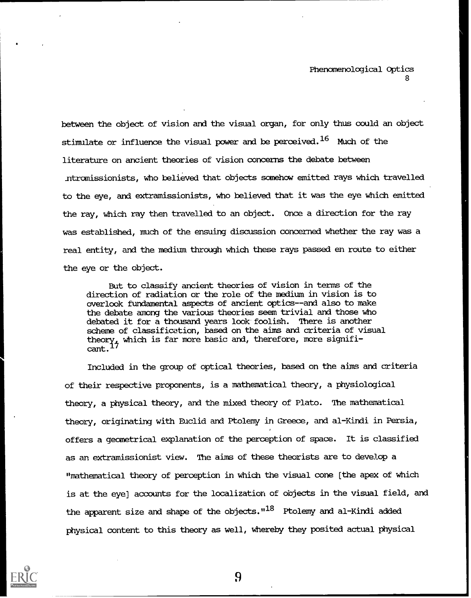between the object of vision and the visual organ, for only thus could an object stimulate or influence the visual power and be perceived.<sup>16</sup> Much of the literature on ancient theories of vision concerns the debate between ntromissionists, who believed that objects somehow emitted rays which travelled to the eye, and extramissionists, who believed that it was the eye which emitted the ray, which ray then travelled to an ohject. Once a direction for the ray was established, much of the ensuing discussion concerned whether the ray was a real entity, and the medium through which these rays passed en route to either the eye or the object.

But to classify ancient theories of vision in terms of the direction of radiation or the role of the medium in vision is to overlook fundamental aspects of ancient optics--and also to make the debate among the various theories seem trivial and those who debated it for a thousand ypars look foolish. There is another scheme of classification, based on the aims and criteria of visual theory4 which is far more basic and, therefore, more signifi- $\text{cant.}$   $^{17}$ 

Included in the group of optical theories, based on the aims and criteria of their respective proponents, is a mathematical theory, a physiological theory, a physical theory, and the mixed theory of Plato. The mathematical theory, originating with Euclid and Ptolemy in Greece, and al-Kindi in Persia, offers a geometrical explanation of the perception of space. It is classified as an extramissionist view. The aims of these theorists are to develop a "mathematical theory of perception in which the visual cone [the apex of which is at the eye] accounts for the localization of objects in the visual field, and the apparent size and shape of the objects.  $118$  Ptolemy and al-Kindi added physical content to this theory as well, whereby they posited actual physical

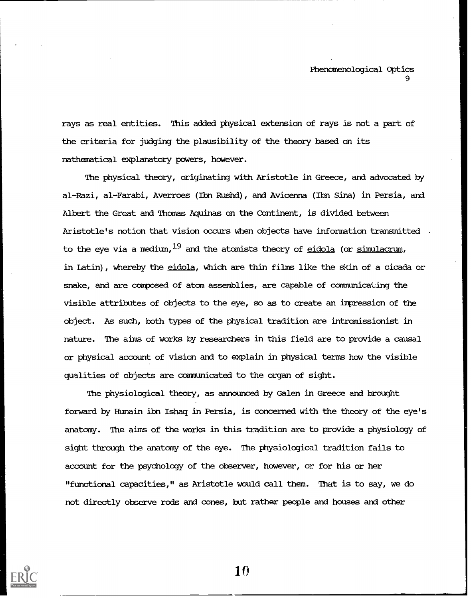rays as real entities. This added physical extension of rays is not a part of the criteria for judging the plausibility of the theory based on its mathematical explanatory powers, however.

The physical theory, originating with Aristotle in Greece, and advocated by al-Razi, al-Farabi, Averroes (Ibn Rushd), and Avicenna (Ibn Sina) in Persia, and Albert the Great and Thomas Aquinas on the COntinent, is divided between Aristotle's notion that vision occurs when objects have information transmitted . to the eye via a medium,  $19$  and the atomists theory of eidola (or simulacrum, in Latin), whereby the eidola, which are thin films like the skin of a cicada or snake, and are composed of atom assemblies, are capable of communicating the visible attributes of objects to the eye, so as to create an impression of the object. As such, both types of the physical tradition are intromissionist in nature. The aims of works by researchers in this field are to provide a causal or physical account of vision and to explain in physical terms how the visible qualities of objects are communicated to the organ of sight.

The physiological theory, as announced by Galen in Greece and brought forward by Bunain ibn Ishaq in Persia, is concerned with the theory of the eye's anatomy. The aims of the works in this tradition are to provide a physiology of sight through the anatomy of the eye. The physiological tradition fails to account for the psychology of the observer, however, or for his or her "functional capacities," as Aristotle would call them. That is to say, we do not directly observe rods and cones, but rather people and houses and other

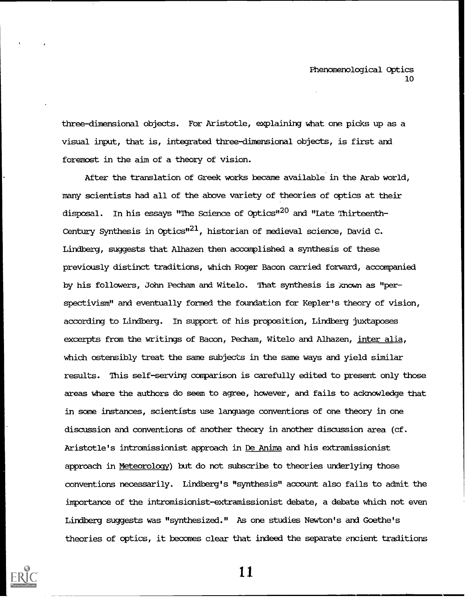three-dimensional objects. For Aristotle, explaining what one picks up as a visual input, that is, integrated three-dimensional objects, is first and foremost in the aim of a theory of vision.

After the translation of Greek works became available in the Arab world, many scientists had all of the above variety of theories of optics at their disposal. In his essays "The Science of Optics"<sup>20</sup> and "Late Thirteenth-Century Synthesis in Optics" $^{21}$ , historian of medieval science, David C. Lindberg, suggests that Alhazen then accomplished a synthesis of these previously distinct traditions, which Roger Bacon carried forward, accompanied by his followers, John Pecham and Witelo. That synthesis is znown as "perspectivism" and eventually formed the foundation for Kepler's theory of vision, according to Lindberg. In support of his proposition, Lindberg juxtaposes excerpts from the writings of Bacon, Pecham, Witelo and Alhazen, inter alia, which ostensibly treat the same subjects in the same ways and yield similar results. This self-serving comparison is carefully edited to present only those areas where the authors do seem to agree, however, and fails to acknowledge that in some instances, scientists use language conventions of one theory in one discussion and conventions of another theory in another discussion area (cf. Aristotle's intromissionist approach in De Anima and his extramissionist approach in Meteorology) but do not subscribe to theories underlying those conventions necessarily. Lindberg's "synthesis" account also fails to admit the importance of the intromisionist-extramissionist debate, a debate which not even Lindberg suggests was "synthesized." As one studies Newton's and Goethe's theories of optics, it becomes clear that indeed the separate encient traditions

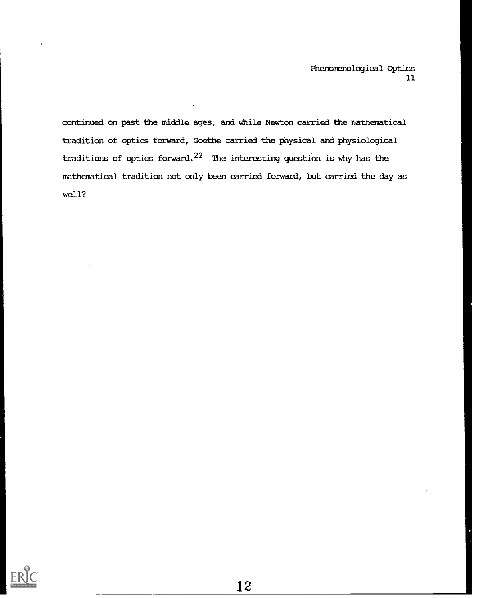continued on past the middle ages, and while Newton carried the nathematical tradition of optics forward, Goethe carried the physical and physiological traditions of optics forward.<sup>22</sup> The interesting question is why has the mathematical tradition not only been carried forward, but carried the day as well?

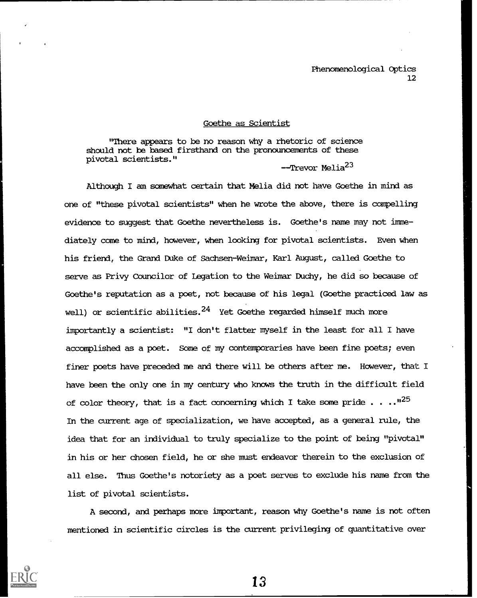### Goethe as Scientist

"There appears to be no reason why a rhetoric of science should not be based firsthand on the pronouncements of these pivotal scientists."

--Trevor Melia<sup>23</sup>

Although I am somewhat certain that Melia did not have Goethe in mind as one of "these pivotal scientists" when he wrote the above, there is compelling evidence to suggest that Goethe nevertheless is. Goethe's name may not immediately come to mind, however, when looking for pivotal scientists. Even when his friend, the Grand Duke of Sachsen-Weimar, Karl August, called Goethe to serve as Privy Councilor of Legation to the Weimar Duchy, he did so because of Goethe's reputation as a poet, not because of his legal (Goethe practiced law as well) or scientific abilities. $^{24}$  Yet Goethe regarded himself much more importantly a scientist: "I don't flatter myself in the least for all I have accomplished as a poet. Some of my contemporaries have been fine poets; even finer poets have preceded me and there will be others after me. However, that I have been the only one in my century who knows the truth in the difficult field of color theory, that is a fact concerning which I take some pride  $\ldots$ ."<sup>25</sup> In the current age of specialization, we have accepted, as a general rule, the idea that for an individual to truly specialize to the point of being "pivotal" in his or her chosen field, he or she must endeavor therein to the exclusion of all else. Thus Goethe's notoriety as a poet serves to exclude his name from the list of pivotal scientists.

A second, and perhaps more important, reason why Goethe's name is not often mentioned in scientific circles is the current privileging of quantitative over

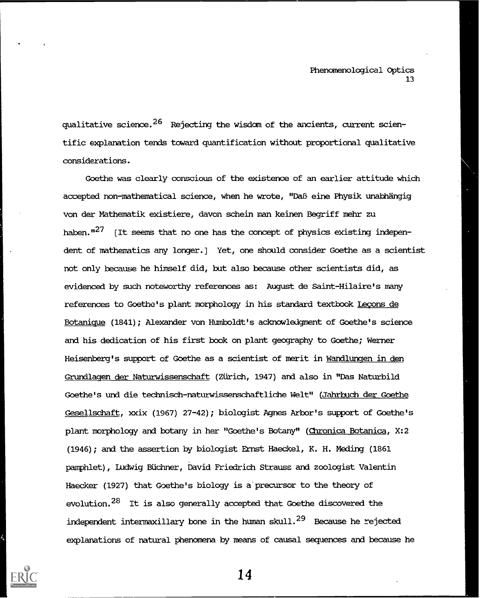qualitative science. $^{26}$  Rejecting the wisdom of the ancients, current scientific explanation tends toward quantification without proportional qualitative considerations.

Goethe was clearly conscious of the existence of an earlier attitude which accepted non-mathematical science, when he wrote, "DaB eine Physik unabhängig von der Mathematik existiere, davon schein man keinen Begriff mehr zu haben. $127$  [It seems that no one has the concept of physics existing independent of mathematics any longer.] Yet, one should consider Goethe as a scientist not only because he himself did, but also because other scientists did, as evidenced by such noteworthy references as: August de Saint-Hilaire's many references to Goethe's plant morphology in his standard textbook Legons de Botanique (1841); Alexander von Humboldt's acknowledgment of Goethe's science and his dedication of his first book on plant geography to Goethe; Werner Heisenberg's support of Goethe as a scientist of merit in Wandlungen in den Grundlagen der Naturwissenschaft (Zürich, 1947) and also in "Das Naturbild Goethe's und die technisch-naturwissenschaftliche Welt" (Jahrbuch der Goethe Gesellschaft, xxix (1967) 27-42); biologist Agnes Arbor's support of Goethe's plant morphology and botany in her "Goethe's Botany" (Chronica Botanica, X:2 (1946); and the assertion by biologist Ernst Haeckel, K. H. Meding (1861 pamphlet), Ludwig BUchner, pavid Friedrich Strauss and zoologist Valentin Haecker (1927) that Goethe's biology is a'precursor to the theory of evolution.28 It is also generally accepted that Goethe discovered the independent intermaxillary bone in the human skull. $^{29}$  Because he rejected explanations of natural phenomena by means of causal sequences and because he

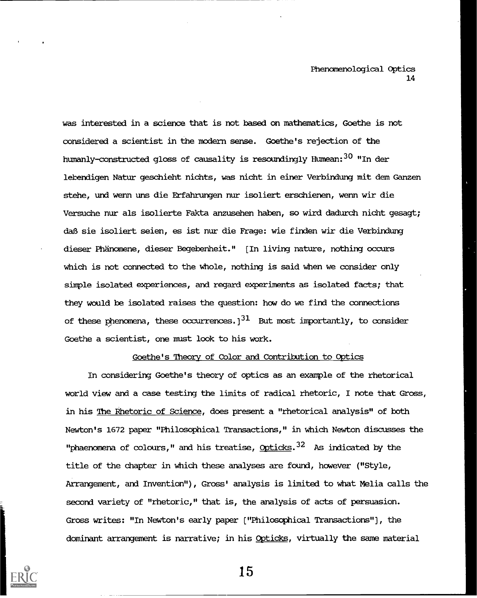was interested in a science that is not based on mathematics, Goethe is not considered a scientist in the modern sense. Goethe's rejection of the humanly-constructed gloss of causality is resoundingly Humean: $^{30}$  "In der lebendigen Natur geschieht nichts, was nicht in einer Verbindung mit dem Ganzen stehe, und wenn uns die Erfahrungen nur isoliert erschienen, wenn wir die Versuche nur als isolierte Fakta anzusehen haben, so wird dadurch nicht gesagt; daB sie isoliert seien, es ist nur die Frage: wie finden wir die Verbindung dieser Phanomene, dieser Begebenheit." [In living nature, nothing occurs which is not connected to the whole, nothing is said when we consider only simple isolated experiences, and regard experiments as isolated facts; that they would be isolated raises the question: how do we find the connections of these phenomena, these occurrences.)<sup>31</sup> But most importantly, to consider Goethe a scientist, one must look to his work.

### Goethe's Theory of Color and Contribution to Optics

In considering Gcethe's theory of optics as an example of the rhetorical world view and a case testing the limits of radical rhetoric, I note that Gross, in his The Rhetoric of Science, does present a "rhetorical analysis" of both Newton's 1672 paper "Philosophical Transactions," in which Newton discusses the "phaenomena of colours," and his treatise, Opticks. $32$  As indicated by the title of the chapter in which these analyses are found, however ("Style, Arrangement, and Invention"), Gross' analysis is limited to what Melia calls the second variety of "rhetoric," that is, the analysis of acts of persuasion. Gross writes: "In Newton's early paper ["Philosophical Transactions"), the dominant arrangement is narrative; in his Opticks, virtually the same material

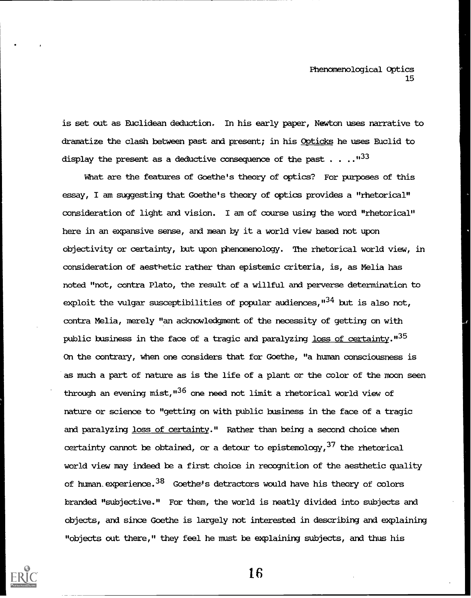is set out as Euclidean deduction. In his early paper, Newton uses narrative to dramatize the clash between past and present; in his Opticks he uses Euclid to display the present as a deductive consequence of the past  $\ldots$ ...<sup>1133</sup>

What are the features of Goethe's theory of optics? For purposes of this essay, I am suggesting that Goethe's theory of optics provides a "rhetorical" consideration of light and vision. I am of course using the word "rhetorical" here in an expansive sense, and mean by it a world view based not upon objectivity or certainty, but upon phenomenology. The rhetorical world view, in consideration of aesthetic rather than epistemic criteria, is, as Melia has noted "not, contra Plato, the result of a willful and perverse determination to exploit the vulgar susceptibilities of popular audiences,  $134$  but is also not, contra Melia, merely "an acknowledgment of the necessity of getting on with public business in the face of a tragic and paralyzing loss of certainty."<sup>35</sup> On the contrary, when one considers that for Goethe, "a human consciousness is as much a part of nature as is the life of a plant or the color of the moon seen through an evening mist,"<sup>36</sup> one need not limit a rhetorical world view of nature or science to "getting on with public business in the face of a tragic and paralyzing loss of certainty." Rather than being a second choice when certainty cannot be obtained, or a detour to epistemology,  $37$  the rhetorical world view may indeed be a first choice in recognition of the aesthetic quality of human experience.  $38$  Goethe's detractors would have his theory of colors branded "subjective." For them, the world is neatly divided into subjects and objects, and since Goethe is largely not interested in describing and explaining "objects out there," they feel he must be explaining subjects, and thus his

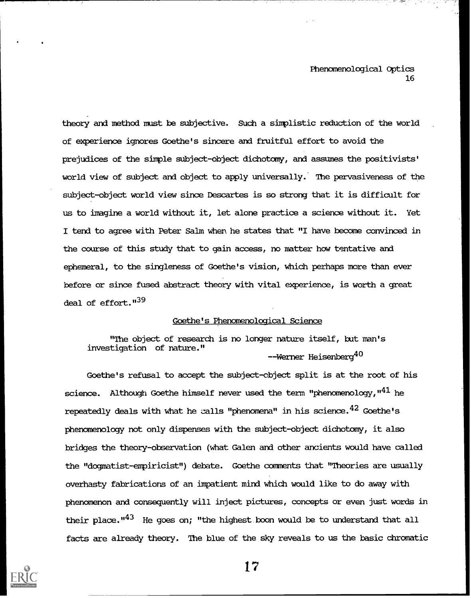theory and method must be subjective. Such a simplistic reduction of the world of experience ignores Goethe's sincere and fruitful effort to avoid the prejudices of the simple subject-object dichotomy, and assumes the positivists' world view of subject and object to apply universally.' The pervasiveness of the subject-object world view since Descartes is so strong that it is difficult for us to imagine a world without it, let alone practice a science without it. Yet I tend to agree with Peter Salm when he states that "I have become convinced in the course of this study that to gain access, no matter how tentative and ephemeral, to the singleness of Goethe's vision, which perhaps more than ever before or since fused abstract theory with vital experience, is worth a great deal of effort."<sup>39</sup>

# Goethe's Phenomenological Science

"The object of research is no longer nature itself, but man's investigation of nature." --Werner Heisenberg<sup>40</sup>

Goethe's refusal to accept the subject-object split is at the root of his science. Although Goethe himself never used the term "phenomenology, " $^{41}$  he repeatedly deals with what he calls "phenomena" in his science.  $42$  Goethe's phenomenology not only dispenses with the subject-object dichotomy, it also bridges the theory-observation (what Galen and other ancients would have called the "dogmatist-empiricist") debate. Goethe comments that "Theories are usually overhasty fabrications of an impatient mind which would like to do away with phenomenon and consequently will inject pictures, concepts or even just words in their place. $143$  He goes on; "the highest boon would be to understand that all facts are already theory. The blue of the sky reveals to us the basic chromatic

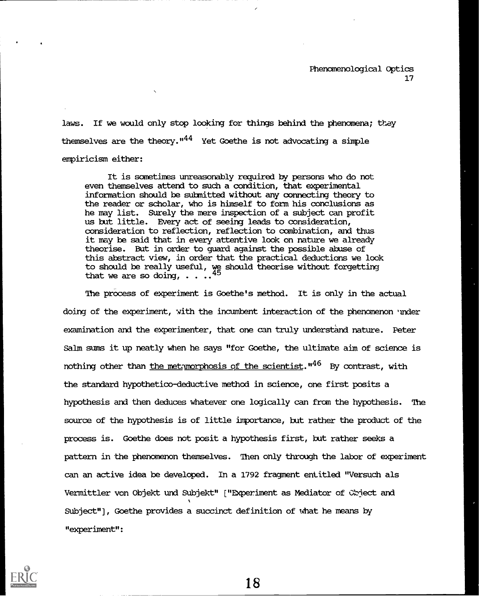laws. If we would only stop looking for things behind the phenomena; they themselves are the theory." $44$  Yet Goethe is not advocating a simple empiricism either:

It is sometimes unreasonably required by persons who do not even themselves attend to such a condition, that experimental information should be submitted without any connecting theory to the reader or scholar, who is himself to form his conclusions as he may list. Surely the mere inspection of a subject can profit us but little. EVery act of seeing leads to consideration, consideration to reflection, reflection to combination, and thus it may be said that in every attentive look on nature we already theorise. But in order to guard against the possible abuse of this abstract view, in order that the practical deductions we look to should be really useful, we should theorise without forgetting that we are so doing,  $\ldots$ .

The process of experiment is Goethe's method. It is only in the actual doing of the experiment, with the incumbent interaction of the phenomenon under examination and the experimenter, that one can truly understand nature. Peter Salm suns it up neatly when he says "for Goethe, the ultimate aim of science is nothing other than the metamorphosis of the scientist.  $1146$  By contrast, with the standard hypothetico-deductive method in science, one first posits a hypothesis and then deduces whatever one logically can from the hypothesis. The source of the hypothesis is of little importance, but rather the product of the process is. Goethe does not posit a hypothesis first, but rather seeks a pattern in the phenomenon themselves. Then only through the labor of experiment can an active idea be developed. In a 1792 fragment entitled "Versuch als Vermittler von Objekt und Subjekt" ["Experiment as Mediator of Obiect and Subject"], Goethe provides a succinct definition of what he means by "experiment":

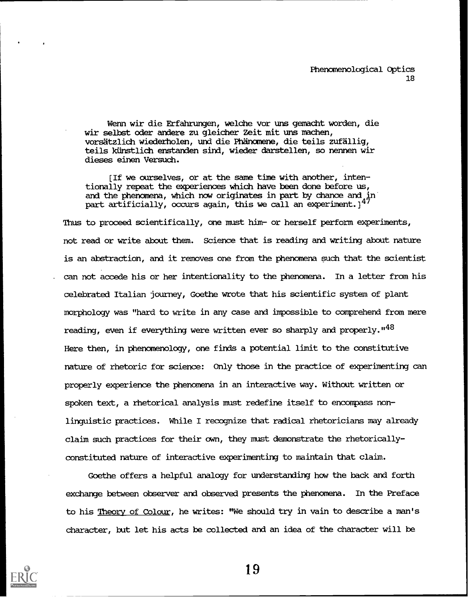Wenn wir die Erfahrungen, welche vor uns gemacht worden, die wir selbst oder andere zu gleicher Zeit mit uns machen, vorsatzlich wiederholen, und die Phanomene, die teils zufallig, teils künstlich enstanden sind, wieder darstellen, so nennen wir dieses einen Versuch.

[If we ourselves, or at the same time with another, intentionally repeat the experiences which have been done before us, and the phenomena, which now originates in part by chance and in part artificially, occurs again, this we call an experiment.] $^{\ast}{}^{\prime}$ 

Thus to proceed scientifically, one must him- or herself perform experiments, not read or write about them. Science that is reading and writing about nature is an abstraction, and it removes one from the phenomena such that the scientist can not accede his or her intentionality to the phenomena. In a letter from his celebrated Italian journey, Goethe wrote that his scientific system of plant morphology was "hard to write in any case and impossible to comprehend from mere reading, even if everything were written ever so sharply and properly.  $148$ Here then, in phenomenology, one finds a potential limit to the constitutive nature of rhetoric for science: Only those in the practice of experimenting can properly experience the phenomena in an interactive way. Without written or spoken text, a rhetorical analysis must redefine itself to encompass nonlinguistic practices. While I recognize that radical rhetoricians may already claim such practices for their own, they must demonstrate the rhetoricallyconstituted nature of interactive experimenting to maintain that claim.

Goethe offers a helpful analogy for understanding how the back and forth exchange between observer and observed presents the phenomena. In the Preface to his Theory of Colour, he writes: "We should try in vain to describe a man's character, but let his acts be collected and an idea of the character will be

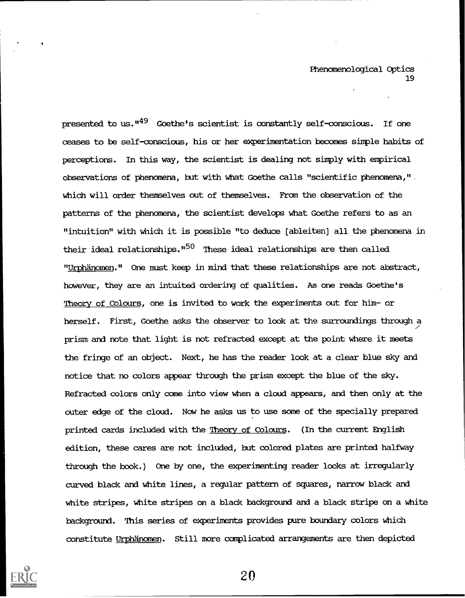presented to us."<sup>49</sup> Goethe's scientist is constantly self-conscious. If one ceases to be self-conscious, his or her experimentation becomes simple habits of perceptions. In this way, the scientist is dealing not simply with empirical observations of phenomena, but with what Goethe calls "scientific phenomena," which will order themselves out of themselves. From the observation of the patterns of the phenomena, the scientist develops what Goethe refers to as an "intuition" with which it is possible "to deduce [ableiten] all the phenomena in their ideal relationships."<sup>50</sup> These ideal relationships are then called "Urphänomen." One must keep in mind that these relationships are not abstract, however, they are an intuited ordering of qualities. As one reads Goethe's Theory of Colours, one is invited to work the experiments out for him- or herself. First, Goethe asks the observer to look at the surroundings through a prism and note that light is not refracted except at the point where it meets the fringe of an object. Next, he has the reader look at a clear blue sky and notice that no colors appear through the prism except the blue of the sky. Refracted colors only come into view when a cloud appears, and then only at the outer edge of the cloud. Now he asks us to use some of the specially prepared printed cards included with the Theory of Colours. (In the current English edition, these cares are not included, but colored plates are printed halfway through the book.) One by one, the experimenting reader looks at irregularly curved black and white lines, a regular pattern of squares, narrow black and white stripes, white stripes on a black background and a black stripe on a white background. This series of experiments provides pure boundary colors which constitute Urphanamen. Still more complicated arrangements are then depicted

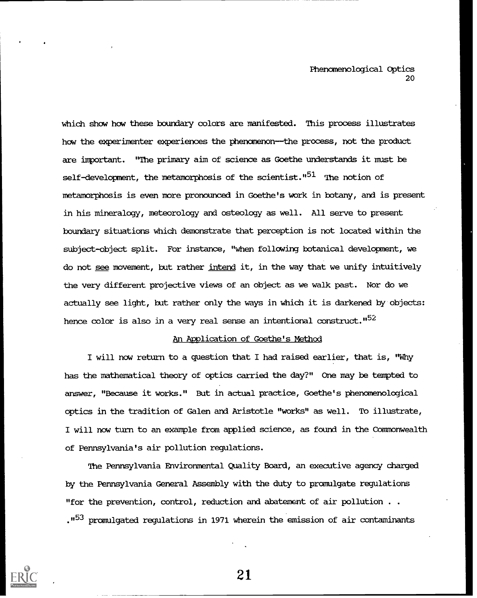which show how these boundary colors are manifested. This process illustrates how the experimenter experiences the phenomenon-the process, not the product are important. "The primary aim of science as Goethe understands it must be self-development, the metamorphosis of the scientist."<sup>51</sup> The notion of metamorphosis is even more pronounced in Goethe's work in botany, and is present in his mineralogy, meteorology and osteology as well. All serve to present boundary situations which demonstrate that perception is not located within the subject-object split. For instance, "when following botanical development, we do not see movement, but rather intend it, in the way that we unify intuitively the very different projective views of an object as we walk past. Nor do we actually see light, but rather only the ways in which it is darkened by objects: hence color is also in a very real sense an intentional construct."<sup>52</sup>

# An Application of Goethe's Method

I will now return to a question that I had raised earlier, that is, "Why has the mathematical theory of optics carried the day?" One may be tempted to answer, "Because it works." But in actual practice, Goethe's phenomenological optics in the tradition of Galen and Aristotle "works" as well. To illustrate, I will now turn to an example from applied science, as found in the Commonwealth of Pennsylvania's air pollution regulations.

The Pennsylvania Environmental Quality Board, an executive agency charged by the Pennsylvania General Assembly with the duty to promulgate regulations "for the prevention, control, reduction and abatement of air pollution . . ."53 promulgated regulations in 1971 wherein the emission of air contaminants

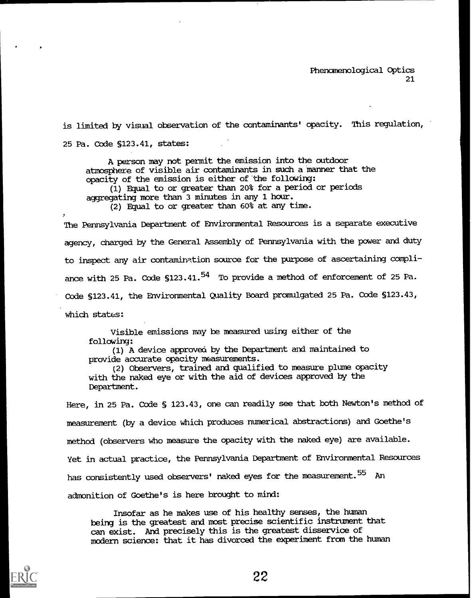is limited by visual observation of the contaminants' opacity. This regulation, 25 Pa. Code S123.41, states:

A person may not permit the emission into the outdoor atmosphere of visible air contaminants in such a manner that the opacity of the emission is either of the following: (1) Equal to or greater than 20% for a period or periods accrecating more than 3 minutes in any 1 hour. (2) Equal to or greater than 60% at any time.

The Pennsylvania Department of Environmental Resources is a separate executive agency, charged by the General Assembly of Pennsylvania with the power and duty to inspect any air contamimtion source for the purpose of ascertaining compliance with 25 Pa. Code  $$123.41.^{54}$  To provide a method of enforcement of 25 Pa. Code §123.41, the Environmental Quality Board promulgated 25 Pa. Code §123.43, which states:

Visible emissions may be measured using either of the following:

(1) A device approved by the Department and maintained to provide accurate opacity measurements.

(2) Observers, trained and qualified to measure plume opacity with the naked eye or with the aid of devices approved by the Department.

Here, in 25 Pa. Code § 123.43, one can readily see that both Newton's method of measurement (by a device which produces numerical abstractions) and Goethe's method (observers who measure the opacity with the naked eye) are available. Yet in actual practice, the Pennsylvania Department of Environmental Resources has consistently used observers' naked eyes for the measurement.<sup>55</sup> An admonition of Goethe's is here brought to mind:

Insofar as he makes use of his healthy senses, the human being is the greatest and most precise scientific instrument that can exist. And precisely this is the greatest disservice of modern science: that it has divorced the experiment from the human

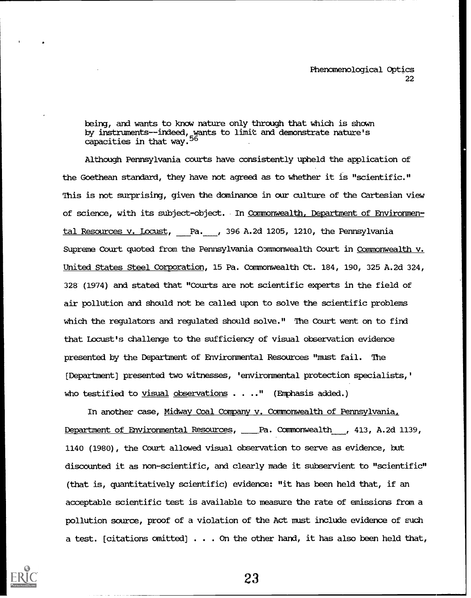being, and wants to know nature only through that which is shown by instruments--indeed, wants to limit and demonstrate nature's capacities in that way.

Although Pennsylvania courts have consistently upheld the application of the Goethean standard, they have not agreed as to whether it is "scientific." This is not surprising, given the dominance in our culture of the Cartesian view of science, with its subject-object. In Commonwealth, Department of Environmental Resources v. Locust, Pa. , 396 A.2d 1205, 1210, the Pennsylvania Supreme Court quoted from the Pennsylvania Commonwealth Court in Commonwealth v. United States Steel Corporation, 15 Pa. Commonwealth Ct. 184, 190, 325 A.2d 324, 328 (1974) and stated that "Courts are not scientific experts in the field of air pollution and should not be called upon to solve the scientific problems which the regulators and regulated should solve." The Court went on to find that Locust's challenge to the sufficiency of visual observation evidence presented by the Department of Environmental Resources "must fail. The [Department] presented two witnesses, 'environmental protection specialists,' who testified to visual observations  $\ldots$ ." (Emphasis added.)

In another case, Midway Coal Company v. Commonwealth of Pennsylvania. Department of Environmental Resources, Pa. Commonwealth , 413, A.2d 1139, 1140 (1980), the Court allowed visual observation to serve as evidence, but discounted it as non-scientific, and clearly made it subservient to "scientific" (that is, quantitatively scientific) evidence: "it has been held that, if an acceptable scientific test is available to measure the rate of emissions from a pollution source, proof of a violation of the Act must include evidence of such a test. [citations omitted] . . . On the other hand, it has also been held that,

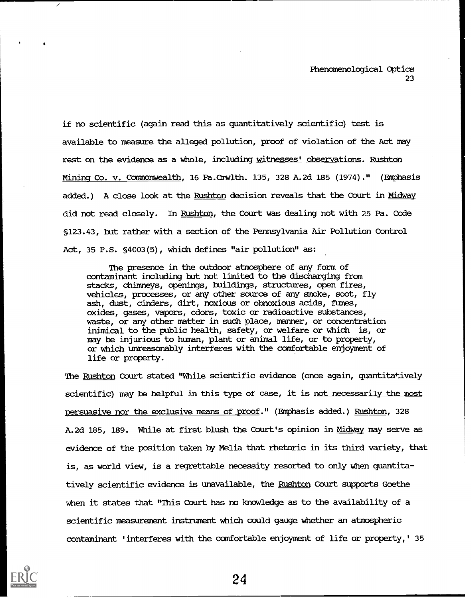if no scientific (again read this as quantitatively scientific) test is available to measure the alleged pollution, proof of violation of the Act may rest on the evidence as a whole, including witnesses' observations. Rushton Mining Co. v. COmmonwealth, 16 Pa.Cwwlth. 135, 328 A-2d 185 (1974)." (EMphasis added.) A close look at the Rushton decision reveals that the Court in Midway did not read closely. In Rushton, the Court was dealing not with 25 Pa. Code §123.43, but rather with a section of the Pennsylvania Air Pollution Control Act, 35 P.S. §4003(5), which defines "air pollution" as:

The presence in the outdoor atmosphere of any form of contaminant including but not limited to the discharging from stacks, chimneys, openings, buildings, structures, open fires, vehicles, processes, or any other source of any smoke, soot, fly ash, dust, cinders, dirt, noxious or obnoxious acids, fumes, oxides, gases, vapors, odors, toxic or radioactive substances, waste, or any other matter in such place, manner, or concentration inimical to the public health, safety, or welfare or which is, or may be injurious to human, plant or animal life, or to property, or which unreasonably interferes with the comfortable enjoyment of life or property.

The Rushton Court stated "While scientific evidence (once again, quantitatively scientific) may be helpful in this type of case, it is not necessarily the most persuasive nor the exclusive means of proof." (Emphasis added.) Rushton, 328 A-2d 185, 189. While at first blush the Court's opinion in Midway may serve as evidence of the position taken by Melia that rhetoric in its third variety, that is, as world view, is a regrettable necessity resorted to only when quantitatively scientific evidence is unavailable, the Rushton Court supports Goethe when it states that "This Court has no knowledge as to the availability of a scientific measurement instrument which could gauge whether an atmospheric contaminant 'interferes with the comfortable enjoyment of life or property,' 35

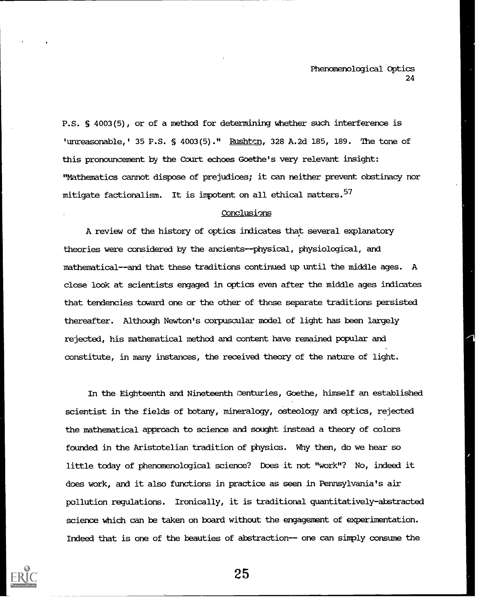P.S. S 4003(5), or of a method for determining whether such interference is 'unreasonable,' 35 P.S. § 4003(5)." Rushtcn, 328 A.2d 185, 189. The tone of this pronouncement by the Court echoes Goethe's very relevant insight: "Mathematics cannot dispose of prejudices; it can neither prevent obstinacy nor mitigate factionalism. It is impotent on all ethical matters.<sup>57</sup>

### Conclusions

A review of the history of optics indicates that several explanatory theories were considered by the ancients--physical, physiological, and mathematical--and that these traditions continued up until the middle ages. A close look at scientists engaged in optics even after the middle ages indicates that tendencies toward one or the other of these separate traditions persisted thereafter. Although Newton's corpuscular model of light has been largely rejected, his mathematical method and content have remained popular and constitute, in many instances, the received theory of the nature of light.

In the Eighteenth and Nineteenth Centuries, Goethe, himself an established scientist in the fields of botany, mineralogy, osteology and optics, rejected the mathematical approach to science and sought instead a theory of colors founded in the Aristotelian tradition of physics. Why then, do we hear so little today of phenomenological science? Does it not "work"? No, indeed it does work, and it also functions in practice as seen in Pennsylvania's air pollution regulations. Ironically, it is traditional quantitatively-abstracted science which can be taken on board without the engagement of experimentation. Indeed that is one of the beauties of abstraction-- one can simply consume the

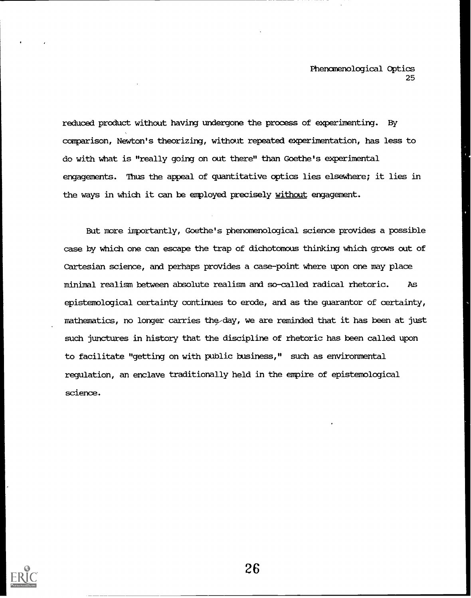reduced product without having undergone the process of experimenting. By comparison, Newton's theorizing, without repeated experimentation, has less to do with what is "really going on out there" than Goethe's experimental engagements. Thus the appeal of quantitative optics lies elsewhere; it lies in the ways in which it can be employed precisely without engagement.

But more importantly, Goethe's phenomenological science provides a possible case by which one can escape the trap of dichotomous thinking which grows out of Cartesian science, and perhaps provides a case-point where upon one may place minimal realism between absolute realism and so-called radical rhetoric. As epistemological certainty continues to erode, and as the guarantor of certainty, mathematics, no longer carries the day, we are reminded that it has been at just such junctures in history that the discipline of rhetoric has been called upon to facilitate "getting on with public business," such as environmental regulation, an enclave traditionally held in the empire of epistemological science.

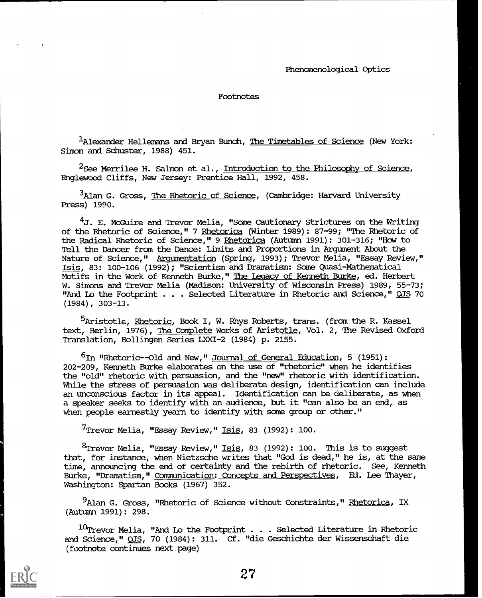1Alexander Hellemans and Bryan Bunch, The Timetables of Science (New York: Simon and Schuster, 1988) 451.

 $2$ See Merrilee H. Salmon et al., Introduction to the Philosophy of Science, Englewood Cliffs, New Jersey: Prentice Hall, 1992, 458.

 $3$ Alan G. Gross, The Rhetoric of Science, (Cambridge: Harvard University Press) 1990.

 $4J$ . E. McGuire and Trevor Melia, "Some Cautionary Strictures on the Writing of the Rhetoric of Science," 7 Rhetorica (Winter 1989): 87-99; "The Rhetoric of the Radical Rhetoric of Science," 9 Rhetorica (Autumn 1991): 301-316; "How to Tell the Dancer from the Dance: Limits and Proportions in Argument About the Nature of Science," Argumentation (Spring, 1993); Trevor Melia, "Essay Review," Isis, 83: 100-106 (1992); "Scientism and Dramatism: Some Quasi-Mathematical Motifs in the Work of Kenneth Burke," The Legacy of Kenneth Burke, ed. Herbert W. Simons and Trevor Melia (Madison: University of Wisconsin Press) 1989, 55-73; "And Lo the Footprint . . . Selected Literature in Rhetoric and Science," OJS 70 (1984), 303-13.

<sup>5</sup>Aristotle, Rhetoric, Book I, W. Rhys Roberts, trans. (from the R. Kassel text, Berlin, 1976), The Complete Works of Aristotle, Vol. 2, The Revised Oxford Translation, Bollingen Series LXXI-2 (1984) p. 2155.

 $6$ In "Rhetoric--Old and New," Journal of General Education, 5 (1951): 202-209, Kenneth Burke elaborates on the use of "rhetoric" when he identifies the "old" rhetoric with persuasion, and the "new" rhetoric with identification. While the stress of persuasion was deliberate design, identification can include an unconscious factor in its appeal. Identification can be deliberate, as when a speaker seeks to identify with an audience, but it "can also be an end, as when people earnestly yearn to identify with some group or other."

<sup>7</sup>Trevor Melia, "Essay Review," <u>Isis</u>, 83 (1992): 100.

 $^{8}$ Trevor Melia, "Essay Review," <u>Isis</u>, 83 (1992): 100. This is to suggest that, for instance, when Nietzsche writes that "God is dead," he is, at the same time, announcing the end of certainty and the rebirth of rhetoric. See, Kenneth Burke, "Dramatism," Communication: Concepts and Perspectives, Ed. Lee Thayer, Washington: Spartan Books (1967) 352.

<sup>9</sup>Alan G. Gross, "Rhetoric of Science without Constraints," <u>Rhetorica</u>, IX (Autumn 1991): 298.

 $10$ Trevor Melia, "And Lo the Footprint . . . Selected Literature in Rhetoric and Science," OJS, 70 (1984): 311. Cf. "die Geschichte der Wissenschaft die (footnote continues next page)

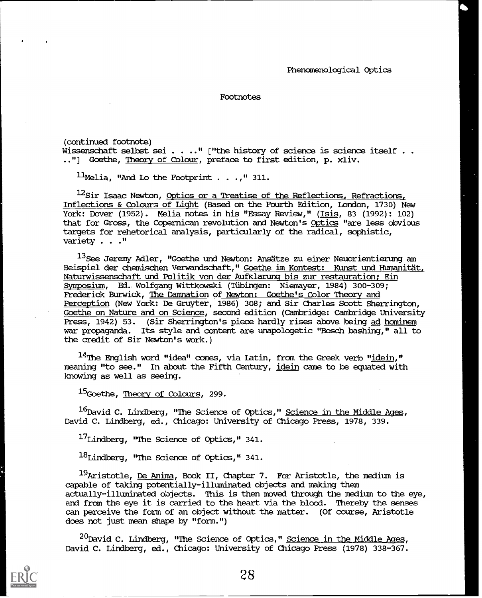(continued footnote)

Wissenschaft selbst sei . . .." ["the history of science is science itself . .  $\,$ .."] Goethe, Theory of Colour, preface to first edition, p. xliv.

 $11$ Melia, "And Lo the Footprint . . .," 311.

<sup>12</sup>Sir Isaac Newton, <u>Optics or a Treatise of the Reflections, Refractions,</u> Inflections & Colours of Light (Based on the Fourth Edition, London, 1730) New York: Dover (1952). Melia notes in his "Essay Review," (Isis, 83 (1992): 102) that for Gross, the Copernican revolution and Newton's Optics "are less obvious targets for rehetorical analysis, particularly of the radical, sophistic, variety . . ."

<sup>13</sup>See Jeremy Adler, "Goethe und Newton: Ansätze zu einer Neuorientierung am Beispiel der chemischen Verwandschaft," Goethe im Kontest: Kunst und Humanitat, Naturwissenschaft und Politik von der Aufklarung bis zur restauration; Ein Symposium, Ed. Wolfgang Wittkowski (TUbingen: Niemayer, 1984) 300-309; Frederick Burwick, The Damnation of Newton: Goethe's Color Theory and Perception (New York: De Gruyter, 1986) 308; and Sir Charles Scott Sherrington, Goethe on Nature and on Science, second edition (Cambridge: Cambridge University Press, 1942) 53. (Sir Sherrington's piece hardly rises above being ad hominem war propaganda. Its style and content are unapologetic "Bosch bashing," all to the credit of Sir Newton's work.)

 $^{14}$ The English word "idea" comes, via Latin, from the Greek verb "idein," meaning "to see." In about the Fifth Century, idein came to be equated with knowing as well as seeing.

<sup>15</sup>Goethe, Theory of Colours, 299.

 $^{16}$ David C. Lindberg, "The Science of Optics," <u>Science in the Middle Ages</u>, David C. Lindberg, ed., Chicago: University of Chicago Press, 1978, 339.

 $^{17}$ Lindberg, "The Science of Optics," 341.

 $^{18}$ Lindberg, "The Science of Optics," 341.

 $^{19}$ Aristotle, De Anima, Book II, Chapter 7. For Aristotle, the medium is capable of taking potentially-illuminated objects and making them actually-illuminated objects. This is then moved through the medium to the eye, and from the eye it is carried to the heart via the blood. Thereby the senses can perceive the form of an object without the matter. (Of course, Aristotle does not just mean shape by "form.")

 $^{20}$ David C. Lindberg, "The Science of Optics," Science in the Middle Ages, David C. Lindberg, ed., Chicago: University of Chicago Press (1978) 338-367.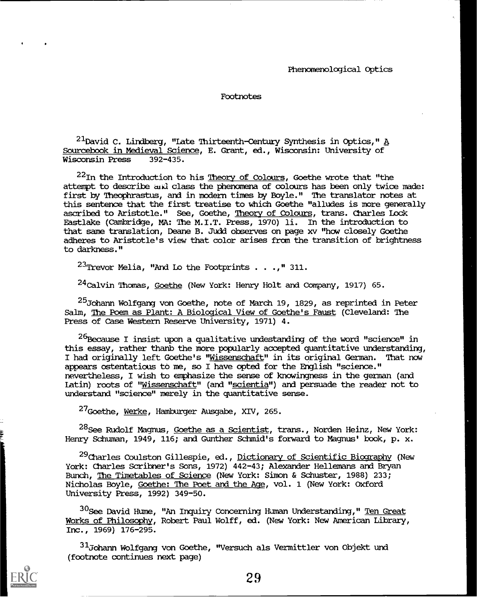$^{21}$ David C. Lindberg, "Late Thirteenth-Century Synthesis in Optics," A Sourcebook in Medieval Science, E. Grant, ed., Wisconsin: University of Wisconsin Press 392-435. Wisconsin Press

 $^{22}$ In the Introduction to his Theory of Colours, Goethe wrote that "the attempt to describe and class the phenomena of colours has been only twice made: first by Theophrastus, and in modern times by Boyle." The translator notes at this sentence that the first treatise to which Goethe "alludes is more generally ascribed to Aristotle." See, Goethe, Theory of Colours, trans. Charles Lock Eastlake (Cambridge, MA: The M.I.T. Press, 1970) li. In the introduction to that same translation, Deane B. Judd observes on page xv "how closely Goethe adheres to Aristotle's view that color arises from the transition of brightness to darkness."

 $^{23}$ Trevor Melia, "And Lo the Footprints . . .," 311.

 $^{24}$ Calvin Thomas, <u>Goethe</u> (New York: Henry Holt and Company, 1917) 65.

<sup>25</sup>Johann Wolfgang von Goethe, note of March 19, 1829, as reprinted in Peter Salm, The Poem as Plant: A Biological View of Goethe's Faust (Cleveland: The Press of Case Western Reserve University, 1971) 4.

 $^{26}$ Because I insist upon a qualitative undestanding of the word "science" in this essay, rather thanb the more popularly accepted quantitative understanding, I had originally left Goethe's "Wissenschaft" in its original German. That now appears ostentatious to me, so I have opted for the English "science." nevertheless, I wish to emphasize the sense of knowingness in the german (and Latin) roots of "Wissenschaft" (and "scientia") and persuade the reader not to understand "science" merely in the quantitative sense.

27Goethe, Werke, Hamburger Ausgabe, XIV, 265.

<sup>28</sup>See Rudolf Magnus, Goethe as a Scientist, trans., Norden Heinz, New York: Henry Schuman, 1949, 116; and Gunther Schmid's forward to Magnus' book, p. x.

<sup>29</sup>Charles Coulston Gillespie, ed., Dictionary of Scientific Biography (New York: Charles Scribner's Sons, 1972) 442-43; Alexander Hellemans and Bryan Bunch, The Timetables of Science (New York: Simon & Schuster, 1988) 233; Nicholas Boyle, Goethe: The Poet and the Age, vol. 1 (New York: Oxford University Press, 1992) 349-50.

<sup>30</sup>See David Hume, "An Inquiry Concerning Human Understanding," <u>Ten Great</u> Works of Philosophy, Robert Paul Wolff, ed. (New York: New American Library, Inc., 1969) 176-295.

<sup>31</sup>Johann Wolfgang von Goethe, "Versuch als Vermittler von Objekt und (footnote continues next page)

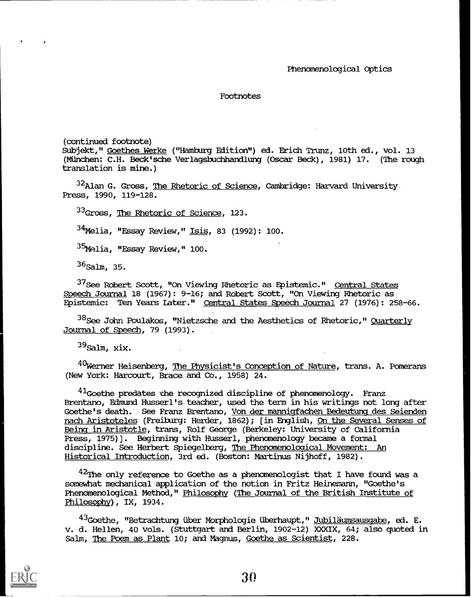(continued footnote) Subjekt," Goethes Werke ("Hamburg Edition") ed. Erich Trunz, 10th ed., vol. 13 (München: C.H. Beck'sche Verlagsbuchhandlung (Oscar Beck), 1981) 17. (The rough translation is mine.)

<sup>32</sup>Alan G. Gross, <u>The Rhetoric of Science</u>, Cambridge: Harvard University. Press, 1990, 119-128.

<sup>33</sup>Gross, The Rhetoric of Science, 123.

 $^{34}$ Melia, "Essay Review," Isis, 83 (1992): 100.

35<sub>Melia, "Essay Review," 100.</sub>

 $36$ Salm, 35.

<sup>37</sup>See Robert Scott, "On Viewing Rhetoric as Epistemic." Central States Speech Journal 18 (1967): 9-16; and Robert Scott, "On Viewing Rhetoric as Epistemic: Ten Years Later." Central States Speech Journal 27 (1976): 258-66.

 $38$ See John Poulakos, "Nietzsche and the Aesthetics of Rhetoric," Quarterly Journal of Speech, 79 (1993).

 $39$ Salm, xix.

40Werner Heisenberg, The Physicist's Conception of Nature, trans. A. Pomerans (New York: Harcourt, Brace and Co., 1958) 24.

 $41$ Goethe predates the recognized discipline of phenomenology. Franz Brentano, Edmund Husserl's teacher, used the term in his writings not long after Goethe's death. See Franz Brentano, Von der mannigfachen Bedeutung des Seienden nach Aristoteles (Freiburg: Herder, 1862); [in English, On the Several Senses of Being in Aristotle, trans, Rolf George (Berkeley: University of California Press, 1975)]. Beginning with Husserl, phenomenology became a formal discipline. See Herbert Spiegelberg, The Phenomenological Movement: An Historical Introduction, 3rd ed. (Boston: Martinus Nijhoff, 1982).

 $^{42}$ The only reference to Goethe as a phenomenologist that I have found was a somewhat mechanical application of the notion in Fritz Heinemann, "Goethe's Phenomenological Method," Philosophy (The Journal of the British Institute of Philosophy), IX, 1934.

<sup>43</sup>Goethe, "Betrachtung über Morphologie überhaupt," <u>Jubiläumsausgabe,</u> ed. E. v. d. Hellen, 40 vols. (Stuttgart and Berlin, 1902-12) XXXIX, 64; also quoted in Salm, The Poem as Plant 10; and Magnus, Goethe as Scientist, 228.